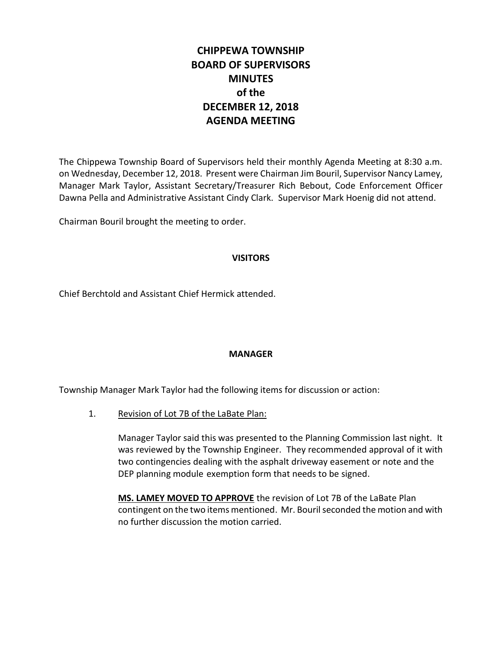# **CHIPPEWA TOWNSHIP BOARD OF SUPERVISORS MINUTES of the DECEMBER 12, 2018 AGENDA MEETING**

The Chippewa Township Board of Supervisors held their monthly Agenda Meeting at 8:30 a.m. on Wednesday, December 12, 2018. Present were Chairman Jim Bouril, Supervisor Nancy Lamey, Manager Mark Taylor, Assistant Secretary/Treasurer Rich Bebout, Code Enforcement Officer Dawna Pella and Administrative Assistant Cindy Clark. Supervisor Mark Hoenig did not attend.

Chairman Bouril brought the meeting to order.

### **VISITORS**

Chief Berchtold and Assistant Chief Hermick attended.

### **MANAGER**

Township Manager Mark Taylor had the following items for discussion or action:

1. Revision of Lot 7B of the LaBate Plan:

Manager Taylor said this was presented to the Planning Commission last night. It was reviewed by the Township Engineer. They recommended approval of it with two contingencies dealing with the asphalt driveway easement or note and the DEP planning module exemption form that needs to be signed.

**MS. LAMEY MOVED TO APPROVE** the revision of Lot 7B of the LaBate Plan contingent on the two items mentioned. Mr. Bouril seconded the motion and with no further discussion the motion carried.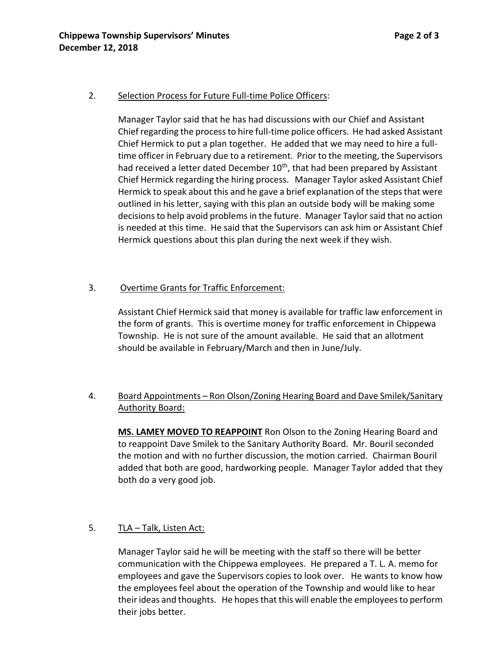### 2. Selection Process for Future Full-time Police Officers:

Manager Taylor said that he has had discussions with our Chief and Assistant Chief regarding the process to hire full-time police officers. He had asked Assistant Chief Hermick to put a plan together. He added that we may need to hire a fulltime officer in February due to a retirement. Prior to the meeting, the Supervisors had received a letter dated December 10<sup>th</sup>, that had been prepared by Assistant Chief Hermick regarding the hiring process. Manager Taylor asked Assistant Chief Hermick to speak about this and he gave a brief explanation of the steps that were outlined in his letter, saying with this plan an outside body will be making some decisions to help avoid problems in the future. Manager Taylor said that no action is needed at this time. He said that the Supervisors can ask him or Assistant Chief Hermick questions about this plan during the next week if they wish.

### 3. Overtime Grants for Traffic Enforcement:

Assistant Chief Hermick said that money is available for traffic law enforcement in the form of grants. This is overtime money for traffic enforcement in Chippewa Township. He is not sure of the amount available. He said that an allotment should be available in February/March and then in June/July.

## 4. Board Appointments - Ron Olson/Zoning Hearing Board and Dave Smilek/Sanitary Authority Board:

**MS. LAMEY MOVED TO REAPPOINT** Ron Olson to the Zoning Hearing Board and to reappoint Dave Smilek to the Sanitary Authority Board. Mr. Bouril seconded the motion and with no further discussion, the motion carried. Chairman Bouril added that both are good, hardworking people. Manager Taylor added that they both do a very good job.

### 5. TLA - Talk, Listen Act:

Manager Taylor said he will be meeting with the staff so there will be better communication with the Chippewa employees. He prepared a T. L. A. memo for employees and gave the Supervisors copies to look over. He wants to know how the employees feel about the operation of the Township and would like to hear their ideas and thoughts. He hopes that this will enable the employees to perform their jobs better.